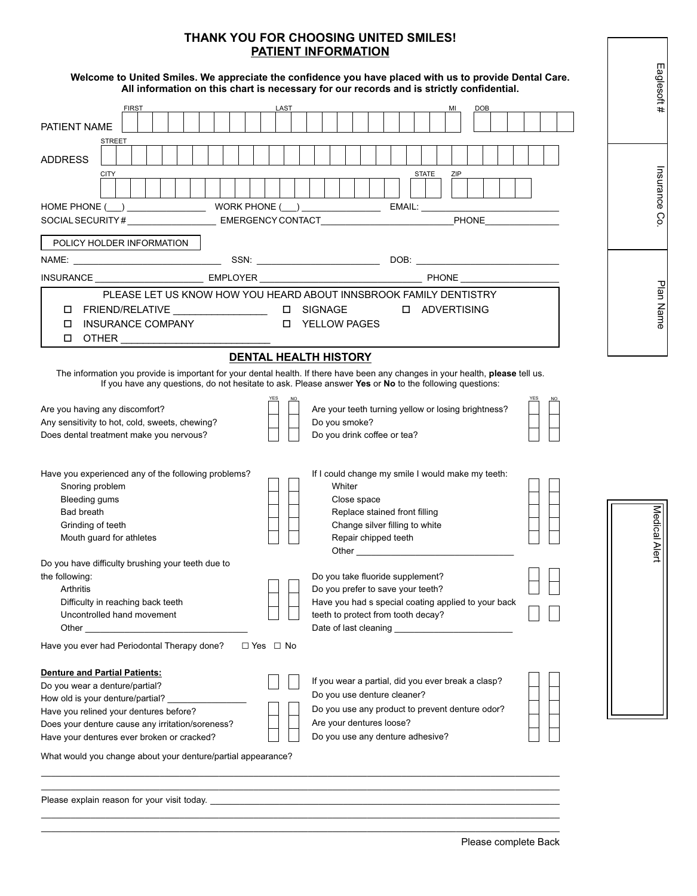## **THANK YOU FOR CHOOSING UNITED SMILES! PATIENT INFORMATION**

| <u>יוטו ומשעט שוב דאשונה ז</u>                                                                                                                                                                                                                                                                                                                                                                                                                                                                                                                                                                                                                                                                                                                                                                                                                                                                                                                                                                                                                                                                      |                  |
|-----------------------------------------------------------------------------------------------------------------------------------------------------------------------------------------------------------------------------------------------------------------------------------------------------------------------------------------------------------------------------------------------------------------------------------------------------------------------------------------------------------------------------------------------------------------------------------------------------------------------------------------------------------------------------------------------------------------------------------------------------------------------------------------------------------------------------------------------------------------------------------------------------------------------------------------------------------------------------------------------------------------------------------------------------------------------------------------------------|------------------|
| Welcome to United Smiles. We appreciate the confidence you have placed with us to provide Dental Care.<br>All information on this chart is necessary for our records and is strictly confidential.                                                                                                                                                                                                                                                                                                                                                                                                                                                                                                                                                                                                                                                                                                                                                                                                                                                                                                  | Eaglesoft#       |
| <b>FIRST</b><br>LAST<br><b>DOB</b>                                                                                                                                                                                                                                                                                                                                                                                                                                                                                                                                                                                                                                                                                                                                                                                                                                                                                                                                                                                                                                                                  |                  |
| PATIENT NAME<br><b>STREET</b>                                                                                                                                                                                                                                                                                                                                                                                                                                                                                                                                                                                                                                                                                                                                                                                                                                                                                                                                                                                                                                                                       |                  |
| <b>ADDRESS</b><br><b>CITY</b><br><b>STATE</b>                                                                                                                                                                                                                                                                                                                                                                                                                                                                                                                                                                                                                                                                                                                                                                                                                                                                                                                                                                                                                                                       |                  |
|                                                                                                                                                                                                                                                                                                                                                                                                                                                                                                                                                                                                                                                                                                                                                                                                                                                                                                                                                                                                                                                                                                     | Insurance        |
|                                                                                                                                                                                                                                                                                                                                                                                                                                                                                                                                                                                                                                                                                                                                                                                                                                                                                                                                                                                                                                                                                                     | So               |
|                                                                                                                                                                                                                                                                                                                                                                                                                                                                                                                                                                                                                                                                                                                                                                                                                                                                                                                                                                                                                                                                                                     |                  |
| POLICY HOLDER INFORMATION                                                                                                                                                                                                                                                                                                                                                                                                                                                                                                                                                                                                                                                                                                                                                                                                                                                                                                                                                                                                                                                                           |                  |
|                                                                                                                                                                                                                                                                                                                                                                                                                                                                                                                                                                                                                                                                                                                                                                                                                                                                                                                                                                                                                                                                                                     |                  |
|                                                                                                                                                                                                                                                                                                                                                                                                                                                                                                                                                                                                                                                                                                                                                                                                                                                                                                                                                                                                                                                                                                     |                  |
| PLEASE LET US KNOW HOW YOU HEARD ABOUT INNSBROOK FAMILY DENTISTRY                                                                                                                                                                                                                                                                                                                                                                                                                                                                                                                                                                                                                                                                                                                                                                                                                                                                                                                                                                                                                                   | Plan Name        |
| $\square \quad \text{FRIEND/RELATIVE} \qquad \qquad \square \qquad \text{SIGNAGE} \qquad \qquad \square \quad \text{ADVERTISING}$                                                                                                                                                                                                                                                                                                                                                                                                                                                                                                                                                                                                                                                                                                                                                                                                                                                                                                                                                                   |                  |
| I INSURANCE COMPANY<br><b>INDUCTE YELLOW PAGES</b>                                                                                                                                                                                                                                                                                                                                                                                                                                                                                                                                                                                                                                                                                                                                                                                                                                                                                                                                                                                                                                                  |                  |
|                                                                                                                                                                                                                                                                                                                                                                                                                                                                                                                                                                                                                                                                                                                                                                                                                                                                                                                                                                                                                                                                                                     |                  |
| <b>DENTAL HEALTH HISTORY</b>                                                                                                                                                                                                                                                                                                                                                                                                                                                                                                                                                                                                                                                                                                                                                                                                                                                                                                                                                                                                                                                                        |                  |
| If you have any questions, do not hesitate to ask. Please answer Yes or No to the following questions:<br>Are your teeth turning yellow or losing brightness?<br>Are you having any discomfort?<br>Any sensitivity to hot, cold, sweets, chewing?<br>Do you smoke?<br>Does dental treatment make you nervous?<br>Do you drink coffee or tea?<br>Have you experienced any of the following problems?<br>If I could change my smile I would make my teeth:<br>Snoring problem<br>Whiter<br>Bleeding gums<br>Close space<br><b>Bad breath</b><br>Replace stained front filling<br>Grinding of teeth<br>Change silver filling to white<br>Mouth guard for athletes<br>Repair chipped teeth<br>Other<br>Do you have difficulty brushing your teeth due to<br>Do you take fluoride supplement?<br>the following:<br>Do you prefer to save your teeth?<br>Arthritis<br>Have you had s special coating applied to your back<br>Difficulty in reaching back teeth<br>Uncontrolled hand movement<br>teeth to protect from tooth decay?<br>Have you ever had Periodontal Therapy done?<br>$\Box$ Yes $\Box$ No | Medical A<br>ert |
| <b>Denture and Partial Patients:</b><br>If you wear a partial, did you ever break a clasp?<br>Do you wear a denture/partial?<br>Do you use denture cleaner?<br>How old is your denture/partial?<br>Do you use any product to prevent denture odor?<br>Have you relined your dentures before?<br>Are your dentures loose?<br>Does your denture cause any irritation/soreness?<br>Do you use any denture adhesive?<br>Have your dentures ever broken or cracked?<br>What would you change about your denture/partial appearance?                                                                                                                                                                                                                                                                                                                                                                                                                                                                                                                                                                      |                  |
| Please explain reason for your visit today. Department of the control of the control of the control of the control of the control of the control of the control of the control of the control of the control of the control of                                                                                                                                                                                                                                                                                                                                                                                                                                                                                                                                                                                                                                                                                                                                                                                                                                                                      |                  |

 $\_$  ,  $\_$  ,  $\_$  ,  $\_$  ,  $\_$  ,  $\_$  ,  $\_$  ,  $\_$  ,  $\_$  ,  $\_$  ,  $\_$  ,  $\_$  ,  $\_$  ,  $\_$  ,  $\_$  ,  $\_$  ,  $\_$  ,  $\_$  ,  $\_$  ,  $\_$  ,  $\_$  ,  $\_$  ,  $\_$  ,  $\_$  ,  $\_$  ,  $\_$  ,  $\_$  ,  $\_$  ,  $\_$  ,  $\_$  ,  $\_$  ,  $\_$  ,  $\_$  ,  $\_$  ,  $\_$  ,  $\_$  ,  $\_$  ,

I